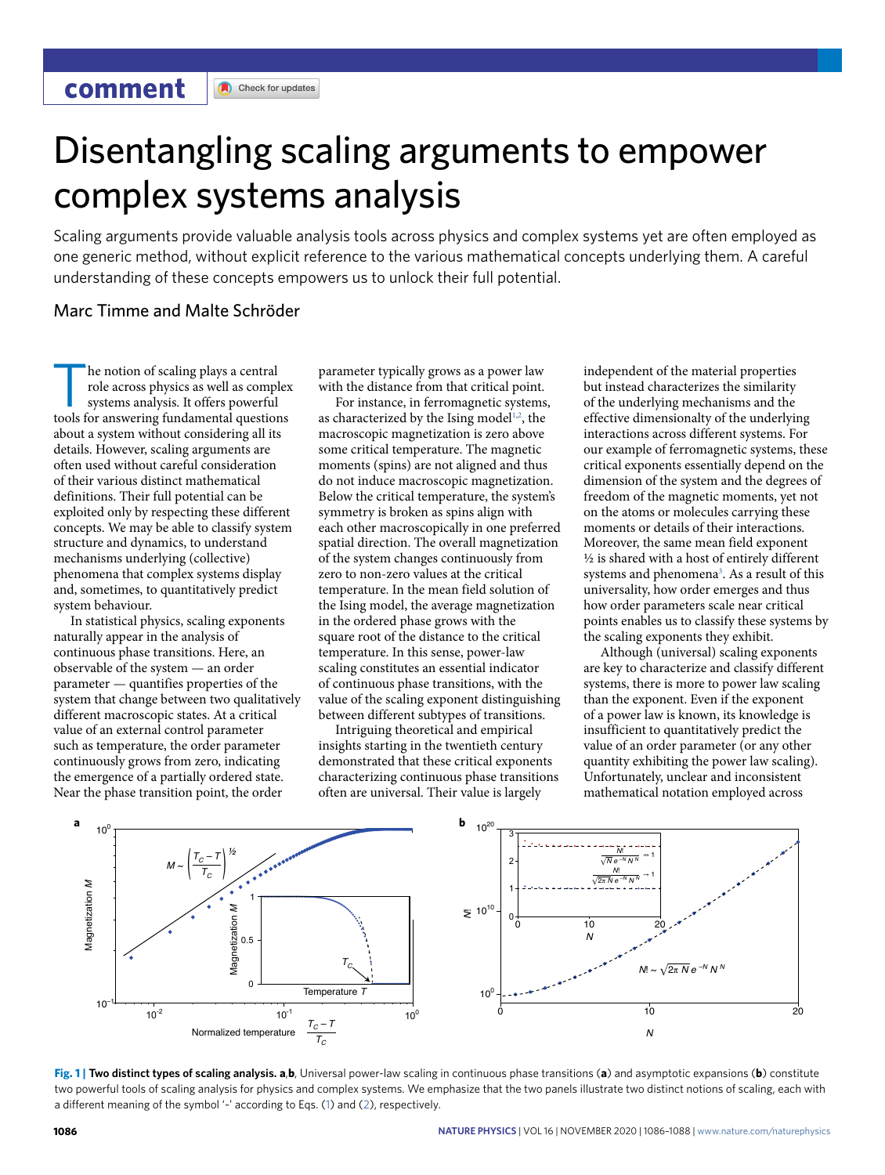## Disentangling scaling arguments to empower complex systems analysis

Scaling arguments provide valuable analysis tools across physics and complex systems yet are often employed as one generic method, without explicit reference to the various mathematical concepts underlying them. A careful understanding of these concepts empowers us to unlock their full potential.

## Marc Timme and Malte Schröder

he notion of scaling plays a central role across physics as well as complex systems analysis. It offers powerful tools for answering fundamental questions about a system without considering all its details. However, scaling arguments are often used without careful consideration of their various distinct mathematical definitions. Their full potential can be exploited only by respecting these different concepts. We may be able to classify system structure and dynamics, to understand mechanisms underlying (collective) phenomena that complex systems display and, sometimes, to quantitatively predict system behaviour.

In statistical physics, scaling exponents naturally appear in the analysis of continuous phase transitions. Here, an observable of the system — an order parameter — quantifies properties of the system that change between two qualitatively different macroscopic states. At a critical value of an external control parameter such as temperature, the order parameter continuously grows from zero, indicating the emergence of a partially ordered state. Near the phase transition point, the order

parameter typically grows as a power law with the distance from that critical point.

For instance, in ferromagnetic systems, as characterized by the Ising model<sup>[1](#page-2-0),[2](#page-2-1)</sup>, the macroscopic magnetization is zero above some critical temperature. The magnetic moments (spins) are not aligned and thus do not induce macroscopic magnetization. Below the critical temperature, the system's symmetry is broken as spins align with each other macroscopically in one preferred spatial direction. The overall magnetization of the system changes continuously from zero to non-zero values at the critical temperature. In the mean field solution of the Ising model, the average magnetization in the ordered phase grows with the square root of the distance to the critical temperature. In this sense, power-law scaling constitutes an essential indicator of continuous phase transitions, with the value of the scaling exponent distinguishing between different subtypes of transitions.

Intriguing theoretical and empirical insights starting in the twentieth century demonstrated that these critical exponents characterizing continuous phase transitions often are universal. Their value is largely

independent of the material properties but instead characterizes the similarity of the underlying mechanisms and the effective dimensionalty of the underlying interactions across different systems. For our example of ferromagnetic systems, these critical exponents essentially depend on the dimension of the system and the degrees of freedom of the magnetic moments, yet not on the atoms or molecules carrying these moments or details of their interactions. Moreover, the same mean field exponent  $\frac{1}{2}$  is shared with a host of entirely different systems and phenomena<sup>[3](#page-2-2)</sup>. As a result of this universality, how order emerges and thus how order parameters scale near critical points enables us to classify these systems by the scaling exponents they exhibit.

Although (universal) scaling exponents are key to characterize and classify different systems, there is more to power law scaling than the exponent. Even if the exponent of a power law is known, its knowledge is insufficient to quantitatively predict the value of an order parameter (or any other quantity exhibiting the power law scaling). Unfortunately, unclear and inconsistent mathematical notation employed across



<span id="page-0-0"></span>**Fig. 1 | Two distinct types of scaling analysis. a**,**b**, Universal power-law scaling in continuous phase transitions (**a**) and asymptotic expansions (**b**) constitute two powerful tools of scaling analysis for physics and complex systems. We emphasize that the two panels illustrate two distinct notions of scaling, each with a different meaning of the symbol '~' according to Eqs. [\(1](#page-1-0)) and ([2\)](#page-1-1), respectively.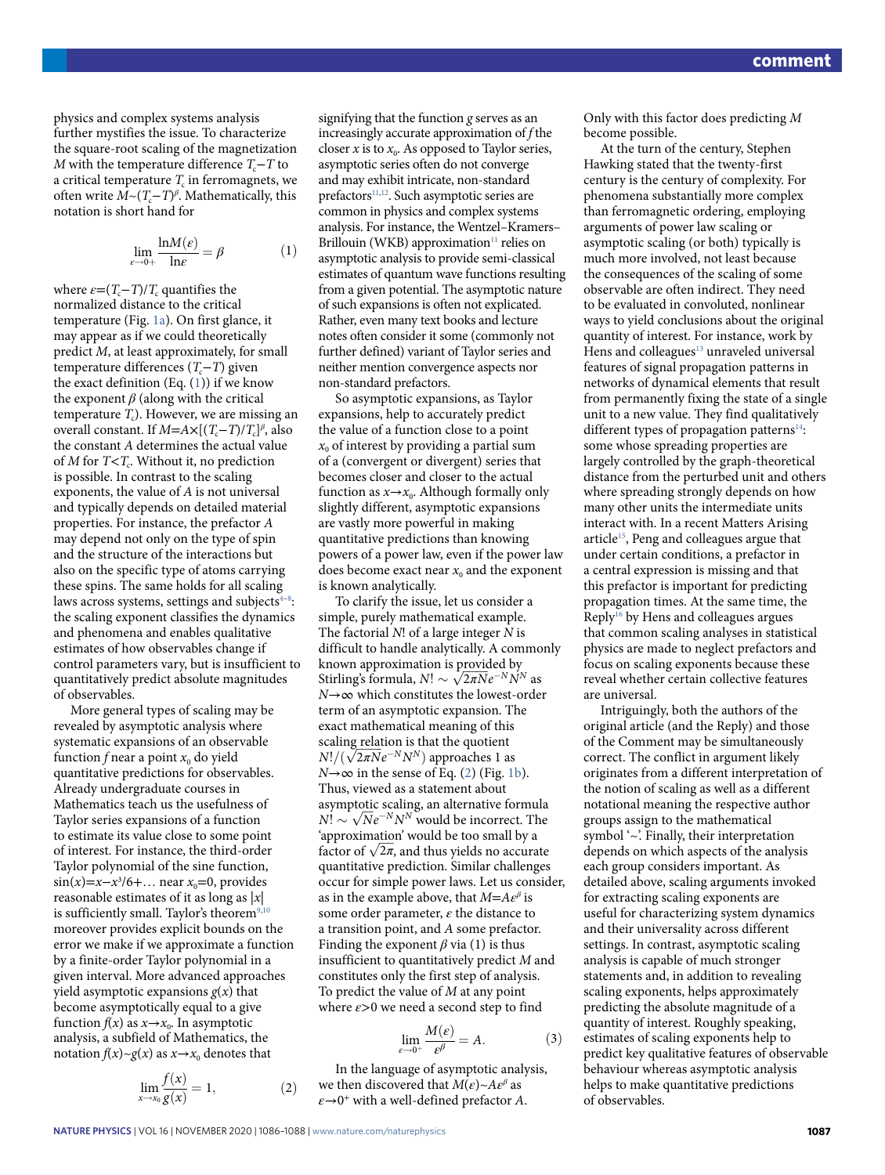physics and complex systems analysis further mystifies the issue. To characterize the square-root scaling of the magnetization *M* with the temperature difference  $T_c - T$  to a critical temperature  $T_c$  in ferromagnets, we often write  $M \sim (T_c - T)^\beta$ . Mathematically, this notation is short hand for

$$
\lim_{\varepsilon \to 0+} \frac{\ln M(\varepsilon)}{\ln \varepsilon} = \beta \tag{1}
$$

<span id="page-1-0"></span>where  $\varepsilon = (T_c - T)/T_c$  quantifies the normalized distance to the critical temperature (Fig. [1a](#page-0-0)). On first glance, it may appear as if we could theoretically predict *M*, at least approximately, for small temperature differences (*T*<sub>c</sub>−*T*) given the exact definition (Eq. ([1](#page-1-0))) if we know the exponent  $\beta$  (along with the critical temperature  $T_c$ ). However, we are missing an overall constant. If  $M=A\times[(T_c-T)/T_c]^\beta$ , also the constant *A* determines the actual value of  $M$  for  $T < T_c$ . Without it, no prediction is possible. In contrast to the scaling exponents, the value of *A* is not universal and typically depends on detailed material properties. For instance, the prefactor *A* may depend not only on the type of spin and the structure of the interactions but also on the specific type of atoms carrying these spins. The same holds for all scaling laws across systems, settings and subjects<sup>4-[8](#page-2-4)</sup>: the scaling exponent classifies the dynamics and phenomena and enables qualitative estimates of how observables change if control parameters vary, but is insufficient to quantitatively predict absolute magnitudes of observables.

More general types of scaling may be revealed by asymptotic analysis where systematic expansions of an observable function *f* near a point  $x_0$  do yield quantitative predictions for observables. Already undergraduate courses in Mathematics teach us the usefulness of Taylor series expansions of a function to estimate its value close to some point of interest. For instance, the third-order Taylor polynomial of the sine function,  $\sin(x) = x - x^3/6 + ...$  near  $x_0 = 0$ , provides reasonable estimates of it as long as |*x*| is sufficiently small. Taylor's theorem<sup>[9,](#page-2-5)[10](#page-2-6)</sup> moreover provides explicit bounds on the error we make if we approximate a function by a finite-order Taylor polynomial in a given interval. More advanced approaches yield asymptotic expansions  $g(x)$  that become asymptotically equal to a give function  $f(x)$  as  $x \rightarrow x_0$ . In asymptotic analysis, a subfield of Mathematics, the notation  $f(x) \sim g(x)$  as  $x \rightarrow x_0$  denotes that

<span id="page-1-1"></span>
$$
\lim_{x \to x_0} \frac{f(x)}{g(x)} = 1,
$$
 (2)

signifying that the function *g* serves as an increasingly accurate approximation of *f* the closer *x* is to  $x_0$ . As opposed to Taylor series, asymptotic series often do not converge and may exhibit intricate, non-standard prefactors<sup>11[,12](#page-2-8)</sup>. Such asymptotic series are common in physics and complex systems analysis. For instance, the Wentzel–Kramers– Brillouin (WKB) approximation $11$  relies on asymptotic analysis to provide semi-classical estimates of quantum wave functions resulting from a given potential. The asymptotic nature of such expansions is often not explicated. Rather, even many text books and lecture notes often consider it some (commonly not further defined) variant of Taylor series and neither mention convergence aspects nor non-standard prefactors.

So asymptotic expansions, as Taylor expansions, help to accurately predict the value of a function close to a point  $x<sub>0</sub>$  of interest by providing a partial sum of a (convergent or divergent) series that becomes closer and closer to the actual function as  $x \rightarrow x_0$ . Although formally only slightly different, asymptotic expansions are vastly more powerful in making quantitative predictions than knowing powers of a power law, even if the power law does become exact near  $x_0$  and the exponent is known analytically.

To clarify the issue, let us consider a simple, purely mathematical example. The factorial *N*! of a large integer *N* is difficult to handle analytically. A commonly known approximation is provided by Stirling's formula,  $N! \sim \sqrt{2\pi N}e^{-N}N^N$  as I *N*→∞ which constitutes the lowest-order term of an asymptotic expansion. The exact mathematical meaning of this scaling relation is that the quotient  $N! / (\sqrt{2\pi N}e^{-N}N^N)$  approaches 1 as  $N \rightarrow \infty$  in the sense of Eq. ([2](#page-1-1)) (Fig. [1b](#page-0-0)). Thus, viewed as a statement about asymptotic scaling, an alternative formula  $N! \sim \sqrt{N}e^{-N}N^N$  would be incorrect. The 'approximation' would be too small by a factor of  $\sqrt{2\pi}$ , and thus yields no accurate quantitative prediction. Similar challenges occur for simple power laws. Let us consider, as in the example above, that *M*=*Aεβ* is some order parameter, *ε* the distance to a transition point, and *A* some prefactor. Finding the exponent  $\beta$  via (1) is thus insufficient to quantitatively predict *M* and constitutes only the first step of analysis. To predict the value of *M* at any point where  $\varepsilon$ >0 we need a second step to find

$$
\lim_{\varepsilon \to 0^+} \frac{M(\varepsilon)}{\varepsilon^{\beta}} = A. \tag{3}
$$

In the language of asymptotic analysis, we then discovered that  $M(\varepsilon) \sim A \varepsilon^{\beta}$  as  $\varepsilon \rightarrow 0^+$  with a well-defined prefactor *A*.

Only with this factor does predicting *M* become possible.

At the turn of the century, Stephen Hawking stated that the twenty-first century is the century of complexity. For phenomena substantially more complex than ferromagnetic ordering, employing arguments of power law scaling or asymptotic scaling (or both) typically is much more involved, not least because the consequences of the scaling of some observable are often indirect. They need to be evaluated in convoluted, nonlinear ways to yield conclusions about the original quantity of interest. For instance, work by Hens and colleagues<sup>13</sup> unraveled universal features of signal propagation patterns in networks of dynamical elements that result from permanently fixing the state of a single unit to a new value. They find qualitatively different types of propagation patterns $14$ : some whose spreading properties are largely controlled by the graph-theoretical distance from the perturbed unit and others where spreading strongly depends on how many other units the intermediate units interact with. In a recent Matters Arising article[15](#page-2-11), Peng and colleagues argue that under certain conditions, a prefactor in a central expression is missing and that this prefactor is important for predicting propagation times. At the same time, the Reply<sup>[16](#page-2-12)</sup> by Hens and colleagues argues that common scaling analyses in statistical physics are made to neglect prefactors and focus on scaling exponents because these reveal whether certain collective features are universal.

Intriguingly, both the authors of the original article (and the Reply) and those of the Comment may be simultaneously correct. The conflict in argument likely originates from a different interpretation of the notion of scaling as well as a different notational meaning the respective author groups assign to the mathematical symbol '~'. Finally, their interpretation depends on which aspects of the analysis each group considers important. As detailed above, scaling arguments invoked for extracting scaling exponents are useful for characterizing system dynamics and their universality across different settings. In contrast, asymptotic scaling analysis is capable of much stronger statements and, in addition to revealing scaling exponents, helps approximately predicting the absolute magnitude of a quantity of interest. Roughly speaking, estimates of scaling exponents help to predict key qualitative features of observable behaviour whereas asymptotic analysis helps to make quantitative predictions of observables.